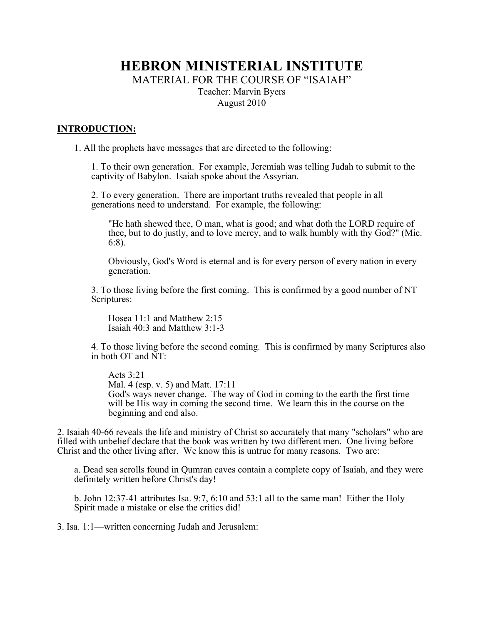# **HEBRON MINISTERIAL INSTITUTE** MATERIAL FOR THE COURSE OF "ISAIAH" Teacher: Marvin Byers August 2010

# **INTRODUCTION:**

1. All the prophets have messages that are directed to the following:

1. To their own generation. For example, Jeremiah was telling Judah to submit to the captivity of Babylon. Isaiah spoke about the Assyrian.

2. To every generation. There are important truths revealed that people in all generations need to understand. For example, the following:

"He hath shewed thee, O man, what is good; and what doth the LORD require of thee, but to do justly, and to love mercy, and to walk humbly with thy God?" (Mic. 6:8).

Obviously, God's Word is eternal and is for every person of every nation in every generation.

3. To those living before the first coming. This is confirmed by a good number of NT Scriptures:

Hosea 11:1 and Matthew 2:15 Isaiah 40:3 and Matthew 3:1-3

4. To those living before the second coming. This is confirmed by many Scriptures also in both OT and NT:

Acts  $3.21$ Mal. 4 (esp. v. 5) and Matt. 17:11 God's ways never change. The way of God in coming to the earth the first time will be His way in coming the second time. We learn this in the course on the beginning and end also.

2. Isaiah 40-66 reveals the life and ministry of Christ so accurately that many "scholars" who are filled with unbelief declare that the book was written by two different men. One living before Christ and the other living after. We know this is untrue for many reasons. Two are:

a. Dead sea scrolls found in Qumran caves contain a complete copy of Isaiah, and they were definitely written before Christ's day!

b. John 12:37-41 attributes Isa. 9:7, 6:10 and 53:1 all to the same man! Either the Holy Spirit made a mistake or else the critics did!

3. Isa. 1:1—written concerning Judah and Jerusalem: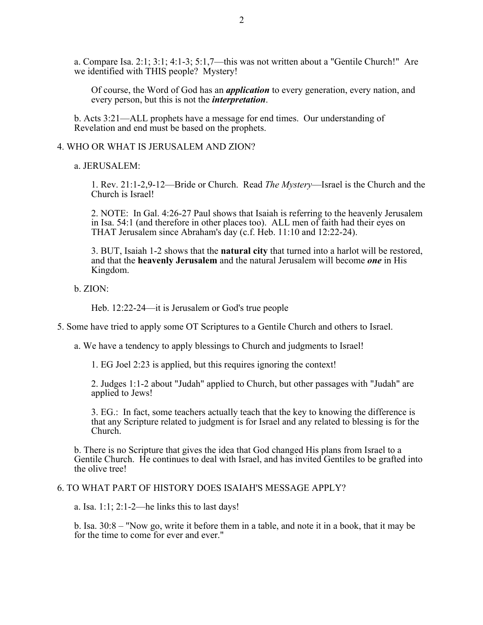a. Compare Isa. 2:1; 3:1; 4:1-3; 5:1,7—this was not written about a "Gentile Church!" Are we identified with THIS people? Mystery!

Of course, the Word of God has an *application* to every generation, every nation, and every person, but this is not the *interpretation*.

b. Acts 3:21—ALL prophets have a message for end times. Our understanding of Revelation and end must be based on the prophets.

#### 4. WHO OR WHAT IS JERUSALEM AND ZION?

a. JERUSALEM:

1. Rev. 21:1-2,9-12—Bride or Church. Read *The Mystery*—Israel is the Church and the Church is Israel!

2. NOTE: In Gal. 4:26-27 Paul shows that Isaiah is referring to the heavenly Jerusalem in Isa. 54:1 (and therefore in other places too). ALL men of faith had their eyes on THAT Jerusalem since Abraham's day (c.f. Heb. 11:10 and 12:22-24).

3. BUT, Isaiah 1-2 shows that the **natural city** that turned into a harlot will be restored, and that the **heavenly Jerusalem** and the natural Jerusalem will become *one* in His Kingdom.

b. ZION:

Heb. 12:22-24—it is Jerusalem or God's true people

5. Some have tried to apply some OT Scriptures to a Gentile Church and others to Israel.

a. We have a tendency to apply blessings to Church and judgments to Israel!

1. EG Joel 2:23 is applied, but this requires ignoring the context!

2. Judges 1:1-2 about "Judah" applied to Church, but other passages with "Judah" are applied to Jews!

3. EG.: In fact, some teachers actually teach that the key to knowing the difference is that any Scripture related to judgment is for Israel and any related to blessing is for the Church.

b. There is no Scripture that gives the idea that God changed His plans from Israel to a Gentile Church. He continues to deal with Israel, and has invited Gentiles to be grafted into the olive tree!

## 6. TO WHAT PART OF HISTORY DOES ISAIAH'S MESSAGE APPLY?

a. Isa.  $1:1:2:1-2$ —he links this to last days!

b. Isa. 30:8 – "Now go, write it before them in a table, and note it in a book, that it may be for the time to come for ever and ever."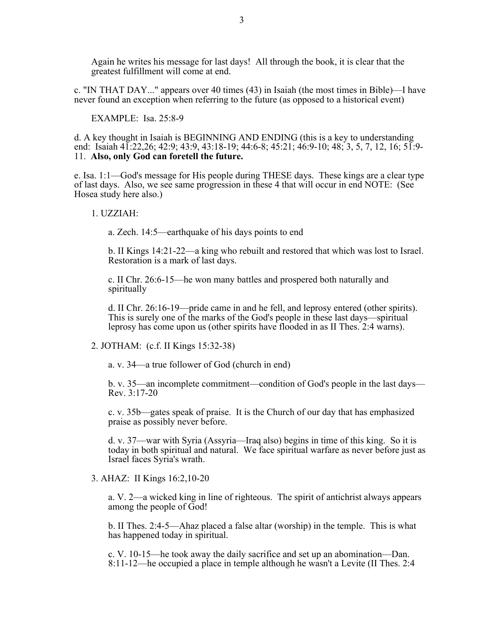Again he writes his message for last days! All through the book, it is clear that the greatest fulfillment will come at end.

c. "IN THAT DAY..." appears over 40 times (43) in Isaiah (the most times in Bible)—I have never found an exception when referring to the future (as opposed to a historical event)

EXAMPLE: Isa. 25:8-9

d. A key thought in Isaiah is BEGINNING AND ENDING (this is a key to understanding end: Isaiah 41:22,26; 42:9; 43:9, 43:18-19; 44:6-8; 45:21; 46:9-10; 48; 3, 5, 7, 12, 16; 51:9- 11. **Also, only God can foretell the future.**

e. Isa. 1:1—God's message for His people during THESE days. These kings are a clear type of last days. Also, we see same progression in these 4 that will occur in end NOTE: (See Hosea study here also.)

1. UZZIAH:

a. Zech. 14:5—earthquake of his days points to end

b. II Kings 14:21-22—a king who rebuilt and restored that which was lost to Israel. Restoration is a mark of last days.

c. II Chr. 26:6-15—he won many battles and prospered both naturally and spiritually

d. II Chr. 26:16-19—pride came in and he fell, and leprosy entered (other spirits). This is surely one of the marks of the God's people in these last days—spiritual leprosy has come upon us (other spirits have flooded in as II Thes. 2:4 warns).

2. JOTHAM: (c.f. II Kings 15:32-38)

a. v. 34—a true follower of God (church in end)

b. v. 35—an incomplete commitment—condition of God's people in the last days— Rev. 3:17-20

c. v. 35b—gates speak of praise. It is the Church of our day that has emphasized praise as possibly never before.

d. v. 37—war with Syria (Assyria—Iraq also) begins in time of this king. So it is today in both spiritual and natural. We face spiritual warfare as never before just as Israel faces Syria's wrath.

3. AHAZ: II Kings 16:2,10-20

a. V. 2—a wicked king in line of righteous. The spirit of antichrist always appears among the people of God!

b. II Thes. 2:4-5—Ahaz placed a false altar (worship) in the temple. This is what has happened today in spiritual.

c. V. 10-15—he took away the daily sacrifice and set up an abomination—Dan. 8:11-12—he occupied a place in temple although he wasn't a Levite (II Thes. 2:4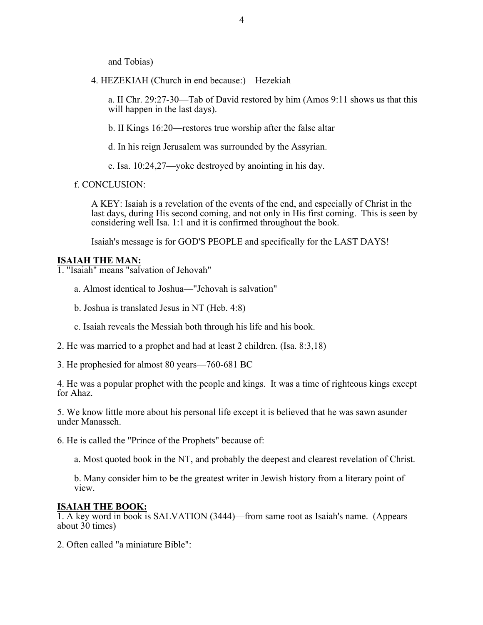and Tobias)

4. HEZEKIAH (Church in end because:)—Hezekiah

a. II Chr. 29:27-30—Tab of David restored by him (Amos 9:11 shows us that this will happen in the last days).

b. II Kings 16:20—restores true worship after the false altar

d. In his reign Jerusalem was surrounded by the Assyrian.

e. Isa. 10:24,27—yoke destroyed by anointing in his day.

f. CONCLUSION:

A KEY: Isaiah is a revelation of the events of the end, and especially of Christ in the last days, during His second coming, and not only in His first coming. This is seen by considering well Isa. 1:1 and it is confirmed throughout the book.

Isaiah's message is for GOD'S PEOPLE and specifically for the LAST DAYS!

## **ISAIAH THE MAN:**

1. "Isaiah" means "salvation of Jehovah"

a. Almost identical to Joshua—"Jehovah is salvation"

- b. Joshua is translated Jesus in NT (Heb. 4:8)
- c. Isaiah reveals the Messiah both through his life and his book.
- 2. He was married to a prophet and had at least 2 children. (Isa. 8:3,18)

3. He prophesied for almost 80 years—760-681 BC

4. He was a popular prophet with the people and kings. It was a time of righteous kings except for Ahaz.

5. We know little more about his personal life except it is believed that he was sawn asunder under Manasseh.

6. He is called the "Prince of the Prophets" because of:

a. Most quoted book in the NT, and probably the deepest and clearest revelation of Christ.

b. Many consider him to be the greatest writer in Jewish history from a literary point of view.

# **ISAIAH THE BOOK:**

1. A key word in book is SALVATION (3444)—from same root as Isaiah's name. (Appears about 30 times)

2. Often called "a miniature Bible":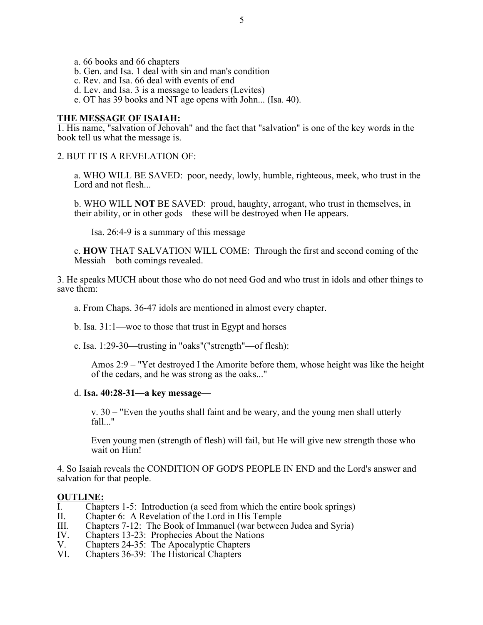- a. 66 books and 66 chapters
- b. Gen. and Isa. 1 deal with sin and man's condition
- c. Rev. and Isa. 66 deal with events of end
- d. Lev. and Isa. 3 is a message to leaders (Levites)
- e. OT has 39 books and NT age opens with John... (Isa. 40).

#### **THE MESSAGE OF ISAIAH:**

1. His name, "salvation of Jehovah" and the fact that "salvation" is one of the key words in the book tell us what the message is.

2. BUT IT IS A REVELATION OF:

a. WHO WILL BE SAVED: poor, needy, lowly, humble, righteous, meek, who trust in the Lord and not flesh...

b. WHO WILL **NOT** BE SAVED: proud, haughty, arrogant, who trust in themselves, in their ability, or in other gods—these will be destroyed when He appears.

Isa. 26:4-9 is a summary of this message

c. **HOW** THAT SALVATION WILL COME: Through the first and second coming of the Messiah—both comings revealed.

3. He speaks MUCH about those who do not need God and who trust in idols and other things to save them:

- a. From Chaps. 36-47 idols are mentioned in almost every chapter.
- b. Isa. 31:1—woe to those that trust in Egypt and horses
- c. Isa. 1:29-30—trusting in "oaks"("strength"—of flesh):

Amos 2:9 – "Yet destroyed I the Amorite before them, whose height was like the height of the cedars, and he was strong as the oaks..."

d. **Isa. 40:28-31—a key message**—

v. 30 – "Even the youths shall faint and be weary, and the young men shall utterly fall..."

Even young men (strength of flesh) will fail, but He will give new strength those who wait on Him!

4. So Isaiah reveals the CONDITION OF GOD'S PEOPLE IN END and the Lord's answer and salvation for that people.

#### **OUTLINE:**

- I. Chapters 1-5: Introduction (a seed from which the entire book springs)<br>II. Chapter 6: A Revelation of the Lord in His Temple
- II. Chapter 6: A Revelation of the Lord in His Temple<br>III. Chapters 7-12: The Book of Immanuel (war betwee
- III. Chapters 7-12: The Book of Immanuel (war between Judea and Syria)<br>IV. Chapters 13-23: Prophecies About the Nations
- IV. Chapters 13-23: Prophecies About the Nations<br>V. Chapters 24-35: The Apocalyptic Chapters
- V. Chapters 24-35: The Apocalyptic Chapters<br>VI. Chapters 36-39: The Historical Chapters
- Chapters 36-39: The Historical Chapters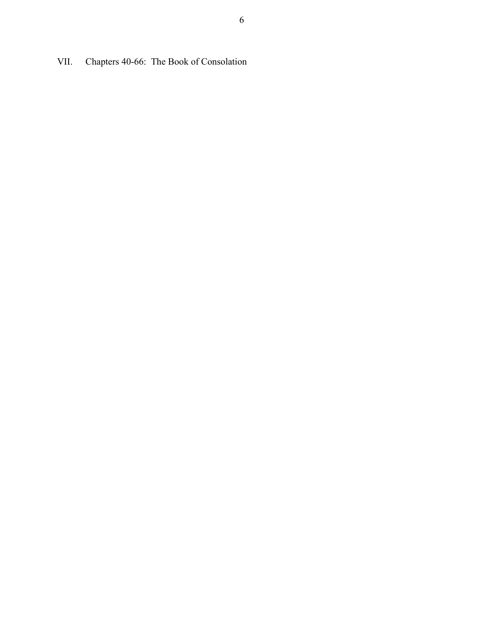VII. Chapters 40-66: The Book of Consolation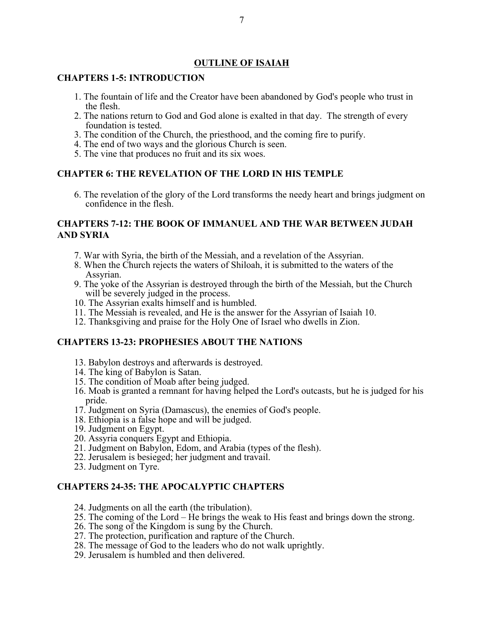# **OUTLINE OF ISAIAH**

## **CHAPTERS 1-5: INTRODUCTION**

- 1. The fountain of life and the Creator have been abandoned by God's people who trust in the flesh.
- 2. The nations return to God and God alone is exalted in that day. The strength of every foundation is tested.
- 3. The condition of the Church, the priesthood, and the coming fire to purify.
- 4. The end of two ways and the glorious Church is seen.
- 5. The vine that produces no fruit and its six woes.

# **CHAPTER 6: THE REVELATION OF THE LORD IN HIS TEMPLE**

6. The revelation of the glory of the Lord transforms the needy heart and brings judgment on confidence in the flesh.

# **CHAPTERS 7-12: THE BOOK OF IMMANUEL AND THE WAR BETWEEN JUDAH AND SYRIA**

- 7. War with Syria, the birth of the Messiah, and a revelation of the Assyrian.
- 8. When the Church rejects the waters of Shiloah, it is submitted to the waters of the Assyrian.
- 9. The yoke of the Assyrian is destroyed through the birth of the Messiah, but the Church will be severely judged in the process.
- 10. The Assyrian exalts himself and is humbled.
- 11. The Messiah is revealed, and He is the answer for the Assyrian of Isaiah 10.
- 12. Thanksgiving and praise for the Holy One of Israel who dwells in Zion.

#### **CHAPTERS 13-23: PROPHESIES ABOUT THE NATIONS**

- 13. Babylon destroys and afterwards is destroyed.
- 14. The king of Babylon is Satan.
- 15. The condition of Moab after being judged.
- 16. Moab is granted a remnant for having helped the Lord's outcasts, but he is judged for his pride.
- 17. Judgment on Syria (Damascus), the enemies of God's people.
- 18. Ethiopia is a false hope and will be judged.
- 19. Judgment on Egypt.
- 20. Assyria conquers Egypt and Ethiopia.
- 21. Judgment on Babylon, Edom, and Arabia (types of the flesh).
- 22. Jerusalem is besieged; her judgment and travail.
- 23. Judgment on Tyre.

## **CHAPTERS 24-35: THE APOCALYPTIC CHAPTERS**

- 24. Judgments on all the earth (the tribulation).
- 25. The coming of the Lord He brings the weak to His feast and brings down the strong.
- 26. The song of the Kingdom is sung by the Church.
- 27. The protection, purification and rapture of the Church.
- 28. The message of God to the leaders who do not walk uprightly.
- 29. Jerusalem is humbled and then delivered.